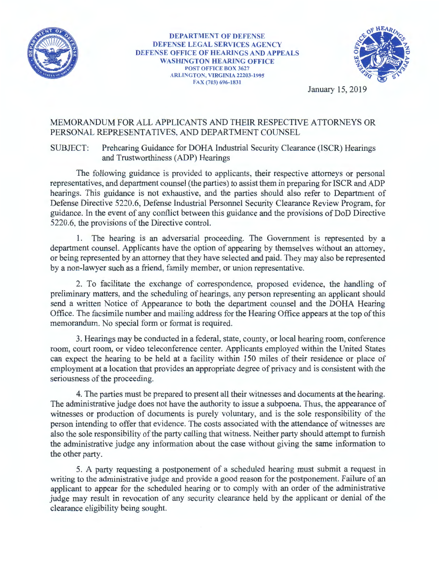

**DEPARTMENT OF DEFENSE DEFENSE** LEGAL SERVICES **AGENCY**  DEFENSE OFFICE **OF HEARINGS AND APPEALS WASHINGTON HEARING OFFICE**  POST OFFICE BOX 3627 **ARLINGTON, VIRGINIA** 22203-1995 FAX (703) 696-1831



January 15, 2019

## MEMORANDUM FOR ALL APPLICANTS AND THEIR RESPECTIVE ATTORNEYS OR PERSONAL REPRESENTATIVES, AND DEPARTMENT COUNSEL

SUBJECT: Prehearing Guidance for DOHA Industrial Security Clearance (ISCR) Hearings and Trustworthiness (ADP) Hearings

The following guidance is provided to applicants, their respective attorneys or personal representatives, and department counsel (the parties) to assist them in preparing for ISCR and ADP hearings. This guidance is not exhaustive, and the parties should also refer to Department of Defense Directive 5220.6, Defense Industrial Personnel Security Clearance Review Program, for guidance. In the event of any conflict between this guidance and the provisions of DoD Directive 5220.6, the provisions of the Directive control.

1. The hearing is an adversarial proceeding. The Government is represented by a department counsel. Applicants have the option of appearing by themselves without an attorney, or being represented by an attorney that they have selected and paid. They may also be represented by a non-lawyer such as a friend, family member, or union representative.

2. To facilitate the exchange of correspondence, proposed evidence, the handling of preliminary matters, and the scheduling of hearings, any person representing an applicant should send a written Notice of Appearance to both the department counsel and the DOHA Hearing Office. The facsimile number and mailing address for the Hearing Office appears at the top of this memorandum. No special form or format is required.

3. Hearings may be conducted in a federal, state, county, or local hearing room, conference room, court room, or video teleconference center. Applicants employed within the United States can expect the hearing to be held at a facility within 150 miles of their residence or place of employment at a location that provides an appropriate degree of privacy and is consistent with the seriousness of the proceeding.

4. The parties must be prepared to present all their witnesses and documents at the hearing. The administrative judge does not have the authority to issue a subpoena. Thus, the appearance of witnesses or production of documents is purely voluntary, and is the sole responsibility of the person intending to offer that evidence. The costs associated with the attendance of witnesses are also the sole responsibility of the party calling that witness. Neither party should attempt to furnish the administrative judge any information about the case without giving the same information to the other party.

5. A party requesting a postponement of a scheduled hearing must submit a request in writing to the administrative judge and provide a good reason for the postponement. Failure of an applicant to appear for the scheduled hearing or to comply with an order of the administrative judge may result in revocation of any security clearance held by the applicant or denial of the clearance eligibility being sought.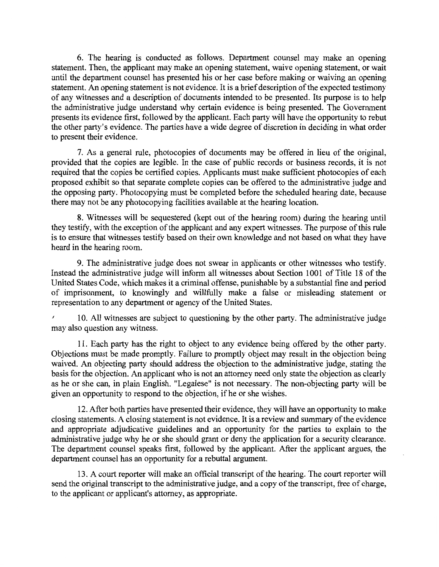6. The hearing is conducted as follows. Department counsel may make an opening statement. Then, the applicant may make an opening statement, waive opening statement, or wait until the department counsel has presented his or her case before making or waiving an opening statement. An opening statement is not evidence. It is a brief description of the expected testimony of any witnesses and a description of documents intended to be presented. Its purpose is to help the administrative judge understand why certain evidence is being presented. The Government presents its evidence first, followed by the applicant. Each party will have the opportunity to rebut the other party's evidence. The parties have a wide degree of discretion in deciding in what order to present their evidence.

7. As a general rule, photocopies of documents may be offered in lieu of the original, provided that the copies are legible. In the case of public records or business records, it is not required that the copies be certified copies. Applicants must make sufficient photocopies of each proposed exhibit so that separate complete copies can be offered to the administrative judge and the opposing party. Photocopying must be completed before the scheduled hearing date, because there may not be any photocopying facilities available at the hearing location.

8. Witnesses will be sequestered (kept out of the hearing room) during the hearing until they testify, with the exception of the applicant and any expert witnesses. The purpose of this rule is to ensure that witnesses testify based on their own knowledge and not based on what they have heard in the hearing room.

9. The administrative judge does not swear in applicants or other witnesses who testify. Instead the administrative judge will inform all witnesses about Section 1001 of Title 18 of the United States Code, which makes it a criminal offense, punishable by a substantial fine and period of imprisonment, to knowingly and willfully make a false or misleading statement or representation to any department or agency of the United States.

*<sup>1</sup>*10. All witnesses are subject to questioning by the other party. The administrative judge may also question any witness.

11. Each party has the right to object to any evidence being offered by the other party. Objections must be made promptly. Failure to promptly object may result in the objection being waived. An objecting party should address the objection to the administrative judge, stating the basis for the objection. An applicant who is not an attorney need only state the objection as clearly as he or she can, in plain English. "Legalese" is not necessary. The non-objecting party will be given an opportunity to respond to the objection, ifhe or she wishes.

12. After both parties have presented their evidence, they will have an opportunity to make closing statements. A closing statement is not evidence. It is a review and summary of the evidence and appropriate adjudicative guidelines and an opportunity for the parties to explain to the administrative judge why he or she should grant or deny the application for a security clearance. The department counsel speaks first, followed by the applicant. After the applicant argues, the department counsel has an opportunity for a rebuttal argument.

13. A court reporter will make an official transcript of the hearing. The court reporter will send the original transcript to the administrative judge, and a copy of the transcript, free of charge, to the applicant or applicant's attorney, as appropriate.